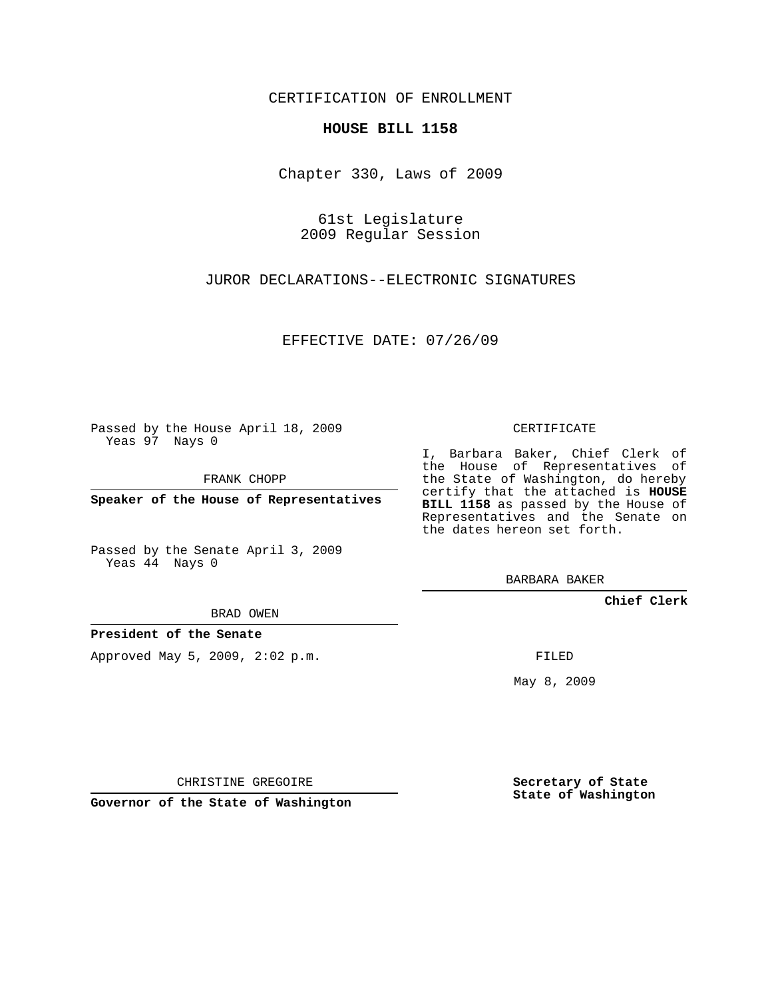CERTIFICATION OF ENROLLMENT

### **HOUSE BILL 1158**

Chapter 330, Laws of 2009

61st Legislature 2009 Regular Session

JUROR DECLARATIONS--ELECTRONIC SIGNATURES

EFFECTIVE DATE: 07/26/09

Passed by the House April 18, 2009 Yeas 97 Nays 0

FRANK CHOPP

**Speaker of the House of Representatives**

Passed by the Senate April 3, 2009 Yeas 44 Nays 0

BRAD OWEN

**President of the Senate**

Approved May 5, 2009, 2:02 p.m.

CERTIFICATE

I, Barbara Baker, Chief Clerk of the House of Representatives of the State of Washington, do hereby certify that the attached is **HOUSE BILL 1158** as passed by the House of Representatives and the Senate on the dates hereon set forth.

BARBARA BAKER

**Chief Clerk**

FILED

May 8, 2009

**Secretary of State State of Washington**

CHRISTINE GREGOIRE

**Governor of the State of Washington**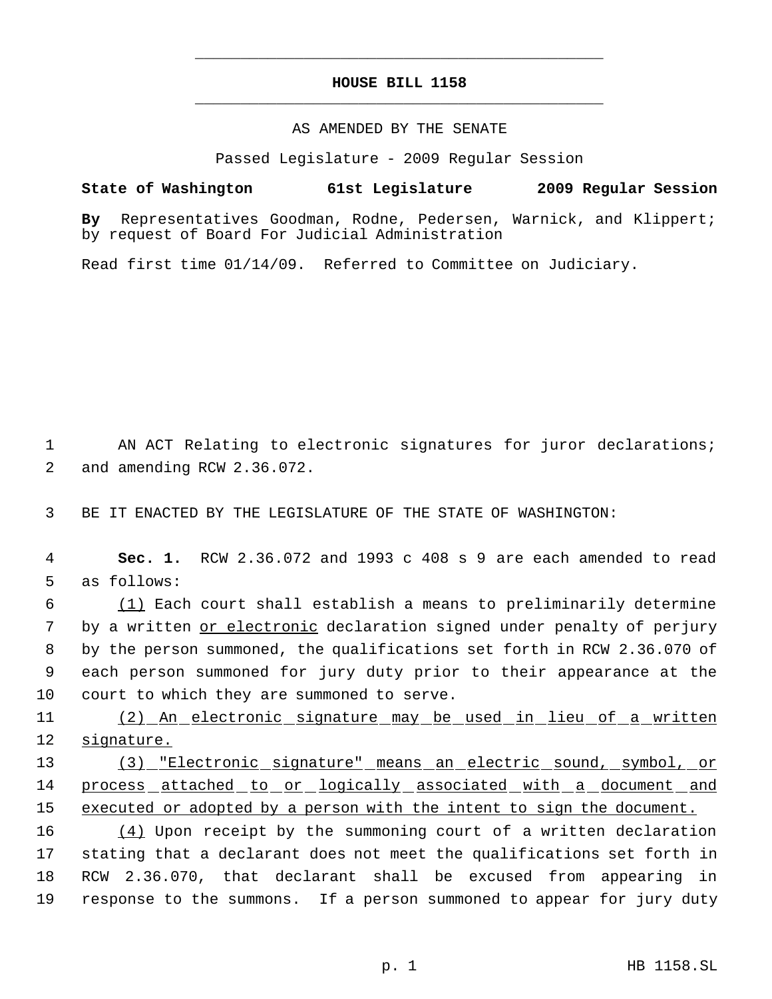# **HOUSE BILL 1158** \_\_\_\_\_\_\_\_\_\_\_\_\_\_\_\_\_\_\_\_\_\_\_\_\_\_\_\_\_\_\_\_\_\_\_\_\_\_\_\_\_\_\_\_\_

\_\_\_\_\_\_\_\_\_\_\_\_\_\_\_\_\_\_\_\_\_\_\_\_\_\_\_\_\_\_\_\_\_\_\_\_\_\_\_\_\_\_\_\_\_

### AS AMENDED BY THE SENATE

Passed Legislature - 2009 Regular Session

# **State of Washington 61st Legislature 2009 Regular Session**

**By** Representatives Goodman, Rodne, Pedersen, Warnick, and Klippert; by request of Board For Judicial Administration

Read first time 01/14/09. Referred to Committee on Judiciary.

1 AN ACT Relating to electronic signatures for juror declarations; 2 and amending RCW 2.36.072.

3 BE IT ENACTED BY THE LEGISLATURE OF THE STATE OF WASHINGTON:

 4 **Sec. 1.** RCW 2.36.072 and 1993 c 408 s 9 are each amended to read 5 as follows:

 (1) Each court shall establish a means to preliminarily determine 7 by a written <u>or electronic</u> declaration signed under penalty of perjury by the person summoned, the qualifications set forth in RCW 2.36.070 of each person summoned for jury duty prior to their appearance at the court to which they are summoned to serve.

11 (2) An electronic signature may be used in lieu of a written 12 signature.

13 (3) "Electronic signature" means an electric sound, symbol, or 14 process attached to or logically associated with a document and 15 executed or adopted by a person with the intent to sign the document.

 $(4)$  Upon receipt by the summoning court of a written declaration stating that a declarant does not meet the qualifications set forth in RCW 2.36.070, that declarant shall be excused from appearing in response to the summons. If a person summoned to appear for jury duty